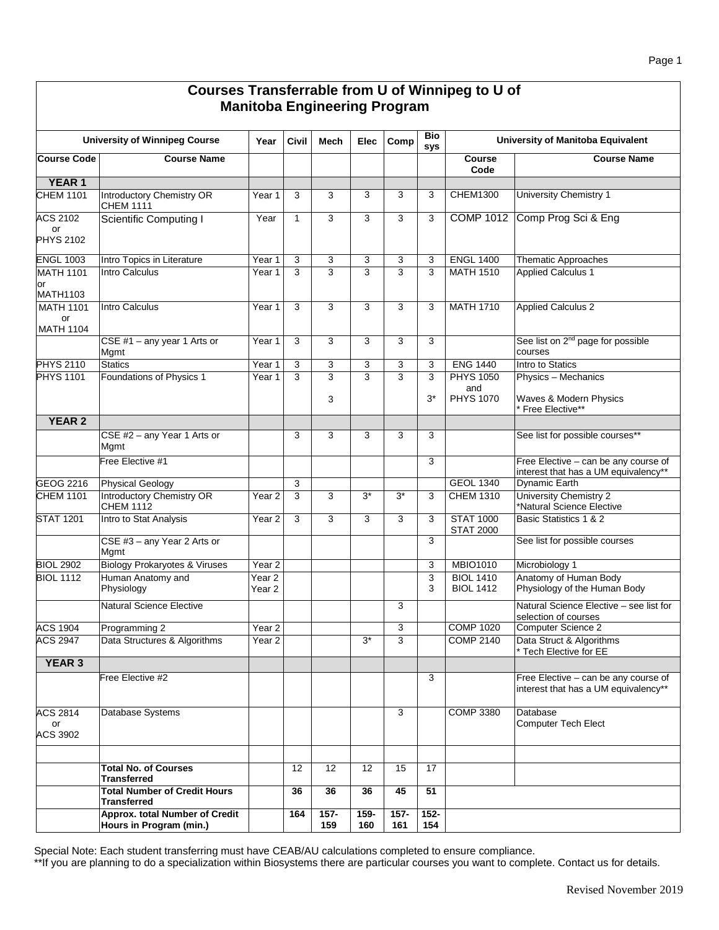| Courses Transferrable from U of Winnipeg to U of<br><b>Manitoba Engineering Program</b> |                                                           |                             |              |                     |                |                |                |                                             |                                                                              |
|-----------------------------------------------------------------------------------------|-----------------------------------------------------------|-----------------------------|--------------|---------------------|----------------|----------------|----------------|---------------------------------------------|------------------------------------------------------------------------------|
|                                                                                         | <b>University of Winnipeg Course</b>                      | Year                        | Civil        | <b>Mech</b>         | Elec           | Comp           | Bio<br>sys     |                                             | University of Manitoba Equivalent                                            |
| <b>Course Code</b>                                                                      | <b>Course Name</b>                                        |                             |              |                     |                |                |                | <b>Course</b><br>Code                       | <b>Course Name</b>                                                           |
| <b>YEAR 1</b>                                                                           |                                                           |                             |              |                     |                |                |                |                                             |                                                                              |
| <b>CHEM 1101</b>                                                                        | <b>Introductory Chemistry OR</b><br><b>CHEM 1111</b>      | Year 1                      | 3            | 3                   | 3              | 3              | 3              | CHEM1300                                    | University Chemistry 1                                                       |
| ACS 2102<br>or<br><b>PHYS 2102</b>                                                      | <b>Scientific Computing I</b>                             | Year                        | $\mathbf{1}$ | 3                   | 3              | 3              | 3              |                                             | COMP 1012 Comp Prog Sci & Eng                                                |
| <b>ENGL 1003</b>                                                                        | Intro Topics in Literature                                | Year 1                      | 3            | 3                   | 3              | 3              | 3              | <b>ENGL 1400</b>                            | Thematic Approaches                                                          |
| <b>MATH 1101</b><br>or                                                                  | Intro Calculus                                            | Year 1                      | 3            | 3                   | 3              | 3              | 3              | <b>MATH 1510</b>                            | <b>Applied Calculus 1</b>                                                    |
| <b>MATH1103</b>                                                                         |                                                           |                             |              |                     |                |                |                |                                             |                                                                              |
| <b>MATH 1101</b><br>or<br><b>MATH 1104</b>                                              | Intro Calculus                                            | Year 1                      | 3            | 3                   | 3              | 3              | 3              | <b>MATH 1710</b>                            | <b>Applied Calculus 2</b>                                                    |
|                                                                                         | CSE #1 $-$ any year 1 Arts or<br>Mgmt                     | Year 1                      | 3            | 3                   | 3              | $\overline{3}$ | 3              |                                             | See list on 2 <sup>nd</sup> page for possible<br>courses                     |
| <b>PHYS 2110</b>                                                                        | <b>Statics</b>                                            | Year 1                      | 3            | 3                   | 3              | 3              | 3              | <b>ENG 1440</b>                             | Intro to Statics                                                             |
| <b>PHYS 1101</b>                                                                        | Foundations of Physics 1                                  | Year 1                      | 3            | $\overline{3}$<br>3 | $\overline{3}$ | $\overline{3}$ | 3<br>$3^*$     | <b>PHYS 1050</b><br>and<br><b>PHYS 1070</b> | Physics - Mechanics<br>Waves & Modern Physics                                |
| <b>YEAR 2</b>                                                                           |                                                           |                             |              |                     |                |                |                |                                             | Free Elective**                                                              |
|                                                                                         | CSE #2 - any Year 1 Arts or                               |                             | 3            | 3                   | 3              | 3              | 3              |                                             | See list for possible courses**                                              |
|                                                                                         | Mgmt                                                      |                             |              |                     |                |                |                |                                             |                                                                              |
|                                                                                         | Free Elective #1                                          |                             |              |                     |                |                | 3              |                                             | Free Elective - can be any course of<br>interest that has a UM equivalency** |
| GEOG 2216                                                                               | <b>Physical Geology</b>                                   |                             | 3            |                     |                |                |                | <b>GEOL 1340</b>                            | <b>Dynamic Earth</b>                                                         |
| <b>CHEM 1101</b>                                                                        | <b>Introductory Chemistry OR</b><br><b>CHEM 1112</b>      | Year 2                      | 3            | 3                   | $3*$           | $3^*$          | 3              | <b>CHEM 1310</b>                            | University Chemistry 2<br>*Natural Science Elective                          |
| <b>STAT 1201</b>                                                                        | Intro to Stat Analysis<br>CSE #3 - any Year 2 Arts or     | Year 2                      | 3            | 3                   | 3              | 3              | 3<br>3         | <b>STAT 1000</b><br><b>STAT 2000</b>        | Basic Statistics 1 & 2<br>See list for possible courses                      |
|                                                                                         | Mgmt                                                      |                             |              |                     |                |                |                |                                             |                                                                              |
| <b>BIOL 2902</b>                                                                        | <b>Biology Prokaryotes &amp; Viruses</b>                  | Year <sub>2</sub>           |              |                     |                |                | 3              | <b>MBIO1010</b>                             | Microbiology 1                                                               |
| <b>BIOL 1112</b>                                                                        | Human Anatomy and<br>Physiology                           | Year <sub>2</sub><br>Year 2 |              |                     |                |                | 3<br>3         | <b>BIOL 1410</b><br><b>BIOL 1412</b>        | Anatomy of Human Body<br>Physiology of the Human Body                        |
|                                                                                         | <b>Natural Science Elective</b>                           |                             |              |                     |                | 3              |                |                                             | Natural Science Elective - see list for<br>selection of courses              |
| <b>ACS 1904</b>                                                                         | Programming 2                                             | Year <sub>2</sub>           |              |                     |                | $\overline{3}$ |                | <b>COMP 1020</b>                            | Computer Science 2                                                           |
| <b>ACS 2947</b>                                                                         | Data Structures & Algorithms                              | Year 2                      |              |                     | $3*$           | 3              |                | <b>COMP 2140</b>                            | Data Struct & Algorithms<br>Tech Elective for EE                             |
| <b>YEAR 3</b>                                                                           |                                                           |                             |              |                     |                |                |                |                                             |                                                                              |
|                                                                                         | Free Elective #2                                          |                             |              |                     |                |                | 3              |                                             | Free Elective - can be any course of<br>interest that has a UM equivalency** |
| <b>ACS 2814</b><br>or<br>ACS 3902                                                       | Database Systems                                          |                             |              |                     |                | 3              |                | <b>COMP 3380</b>                            | Database<br>Computer Tech Elect                                              |
|                                                                                         |                                                           |                             |              |                     |                |                |                |                                             |                                                                              |
|                                                                                         | <b>Total No. of Courses</b><br><b>Transferred</b>         |                             | 12           | 12                  | 12             | 15             | 17             |                                             |                                                                              |
|                                                                                         | <b>Total Number of Credit Hours</b><br><b>Transferred</b> |                             | 36           | 36                  | 36             | 45             | 51             |                                             |                                                                              |
|                                                                                         | Approx. total Number of Credit<br>Hours in Program (min.) |                             | 164          | $157 -$<br>159      | 159-<br>160    | $157 -$<br>161 | $152 -$<br>154 |                                             |                                                                              |

Special Note: Each student transferring must have CEAB/AU calculations completed to ensure compliance.

\*\*If you are planning to do a specialization within Biosystems there are particular courses you want to complete. Contact us for details.